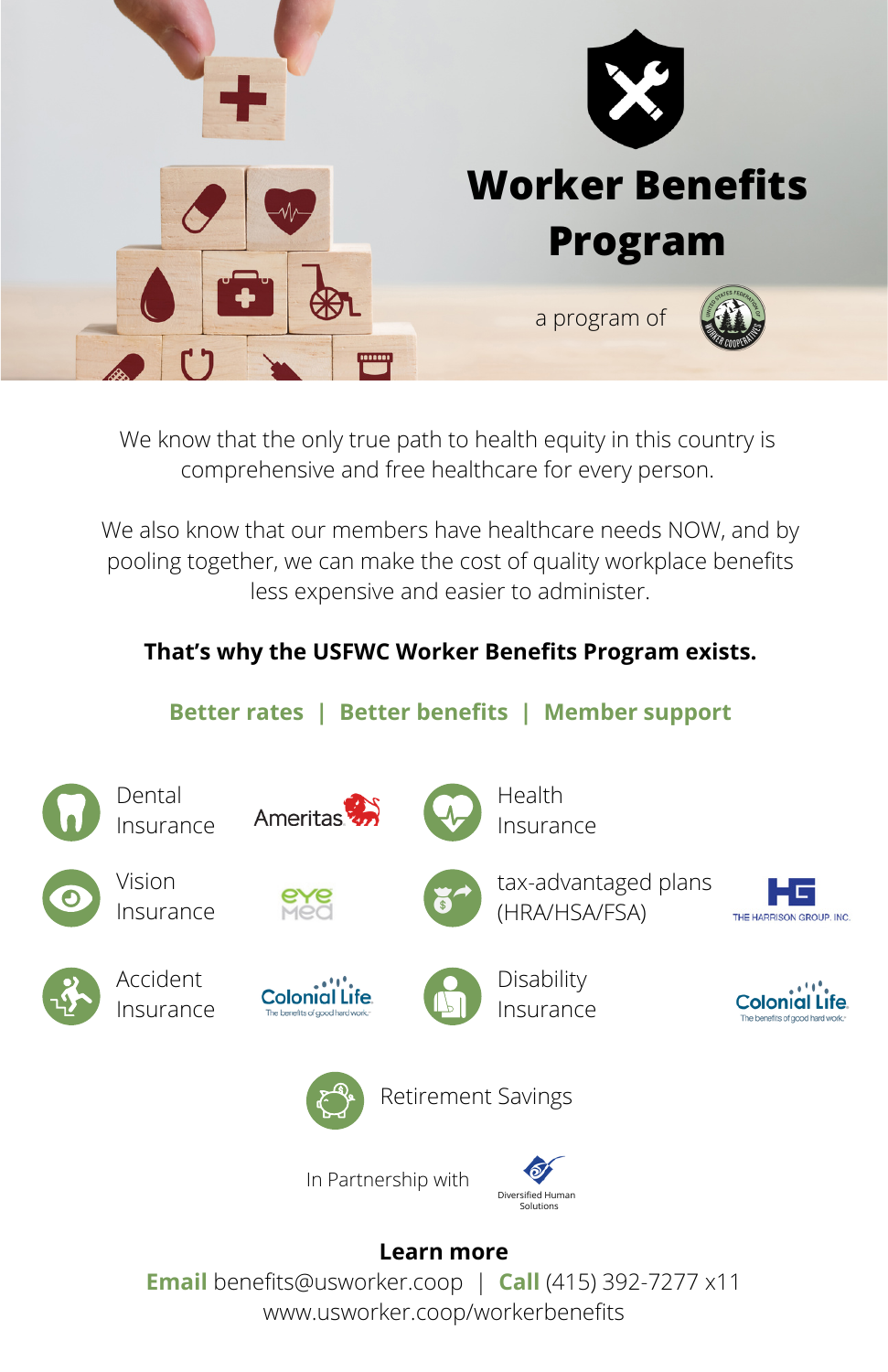

We know that the only true path to health equity in this country is comprehensive and free healthcare for every person.

We also know that our members have healthcare needs NOW, and by pooling together, we can make the cost of quality workplace benefits less expensive and easier to administer.

## **That's why the USFWC Worker Benefits Program exists.**

## **Better rates | Better benefits | Member support**